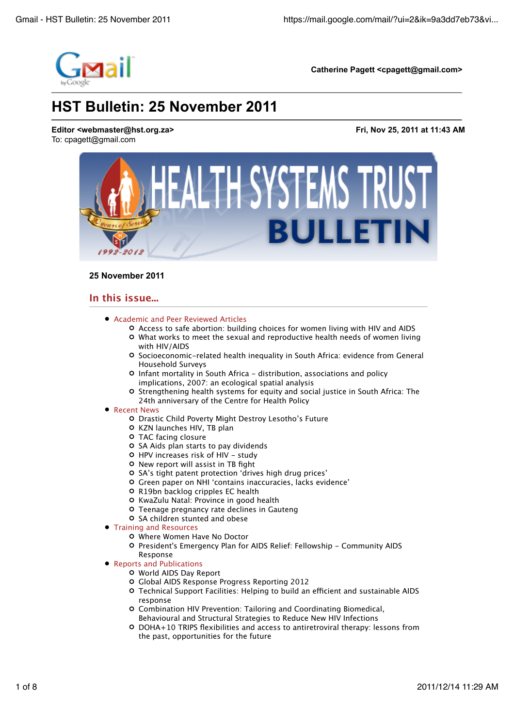

## **25 November 2011**

# **In this issue...**

- Academic and Peer Reviewed Articles
	- Access to safe abortion: building choices for women living with HIV and AIDS
	- What works to meet the sexual and reproductive health needs of women living with HIV/AIDS
	- Socioeconomic-related health inequality in South Africa: evidence from General Household Surveys
	- Infant mortality in South Africa distribution, associations and policy implications, 2007: an ecological spatial analysis
	- Strengthening health systems for equity and social justice in South Africa: The 24th anniversary of the Centre for Health Policy
- Recent News
	- Drastic Child Poverty Might Destroy Lesotho's Future
	- O KZN launches HIV, TB plan
	- TAC facing closure
	- O SA Aids plan starts to pay dividends
	- HPV increases risk of HIV study
	- New report will assist in TB fight
	- O SA's tight patent protection 'drives high drug prices'
	- Green paper on NHI 'contains inaccuracies, lacks evidence'
	- R19bn backlog cripples EC health
	- O KwaZulu Natal: Province in good health
	- Teenage pregnancy rate declines in Gauteng
	- O SA children stunted and obese
- Training and Resources
	- Where Women Have No Doctor
	- President's Emergency Plan for AIDS Relief: Fellowship Community AIDS Response
- Reports and Publications
	- World AIDS Day Report
	- Global AIDS Response Progress Reporting 2012
	- O Technical Support Facilities: Helping to build an efficient and sustainable AIDS response
	- Combination HIV Prevention: Tailoring and Coordinating Biomedical, Behavioural and Structural Strategies to Reduce New HIV Infections
	- DOHA+10 TRIPS flexibilities and access to antiretroviral therapy: lessons from the past, opportunities for the future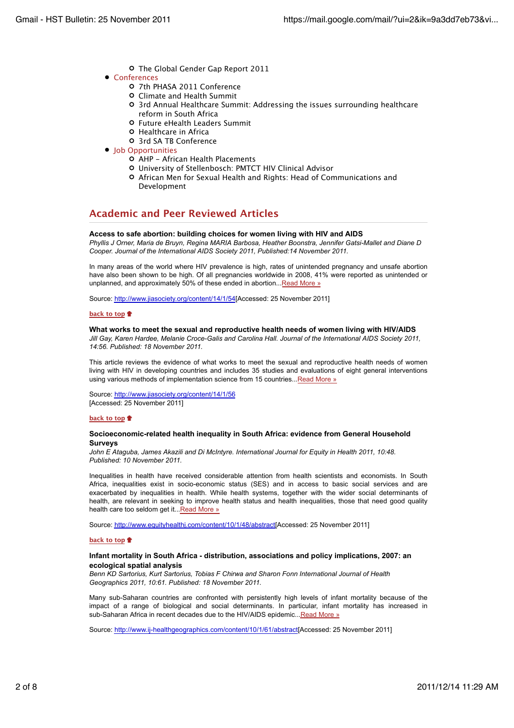- The Global Gender Gap Report 2011
- Conferences
	- 7th PHASA 2011 Conference
	- Climate and Health Summit
	- 3rd Annual Healthcare Summit: Addressing the issues surrounding healthcare reform in South Africa
	- Future eHealth Leaders Summit
	- **O** Healthcare in Africa
	- 3rd SA TB Conference
- Job Opportunities
	- AHP African Health Placements
	- University of Stellenbosch: PMTCT HIV Clinical Advisor
	- African Men for Sexual Health and Rights: Head of Communications and Development

# **Academic and Peer Reviewed Articles**

## **Access to safe abortion: building choices for women living with HIV and AIDS**

*Phyllis J Orner, Maria de Bruyn, Regina MARIA Barbosa, Heather Boonstra, Jennifer Gatsi-Mallet and Diane D Cooper. Journal of the International AIDS Society 2011, Published:14 November 2011.*

In many areas of the world where HIV prevalence is high, rates of unintended pregnancy and unsafe abortion have also been shown to be high. Of all pregnancies worldwide in 2008, 41% were reported as unintended or unplanned, and approximately 50% of these ended in abortion...Read More »

Source: http://www.jiasociety.org/content/14/1/54[Accessed: 25 November 2011]

## **back to top**

## **What works to meet the sexual and reproductive health needs of women living with HIV/AIDS**

*Jill Gay, Karen Hardee, Melanie Croce-Galis and Carolina Hall. Journal of the International AIDS Society 2011, 14:56. Published: 18 November 2011.*

This article reviews the evidence of what works to meet the sexual and reproductive health needs of women living with HIV in developing countries and includes 35 studies and evaluations of eight general interventions using various methods of implementation science from 15 countries...Read More »

Source: http://www.jiasociety.org/content/14/1/56 [Accessed: 25 November 2011]

## **back to top**

## **Socioeconomic-related health inequality in South Africa: evidence from General Household Surveys**

*John E Ataguba, James Akazili and Di McIntyre. International Journal for Equity in Health 2011, 10:48. Published: 10 November 2011.*

Inequalities in health have received considerable attention from health scientists and economists. In South Africa, inequalities exist in socio-economic status (SES) and in access to basic social services and are exacerbated by inequalities in health. While health systems, together with the wider social determinants of health, are relevant in seeking to improve health status and health inequalities, those that need good quality health care too seldom get it...Read More »

Source: http://www.equityhealthj.com/content/10/1/48/abstract[Accessed: 25 November 2011]

## **back to top**

## **Infant mortality in South Africa - distribution, associations and policy implications, 2007: an ecological spatial analysis**

*Benn KD Sartorius, Kurt Sartorius, Tobias F Chirwa and Sharon Fonn International Journal of Health Geographics 2011, 10:61. Published: 18 November 2011.*

Many sub-Saharan countries are confronted with persistently high levels of infant mortality because of the impact of a range of biological and social determinants. In particular, infant mortality has increased in sub-Saharan Africa in recent decades due to the HIV/AIDS epidemic...Read More »

Source: http://www.ij-healthgeographics.com/content/10/1/61/abstract[Accessed: 25 November 2011]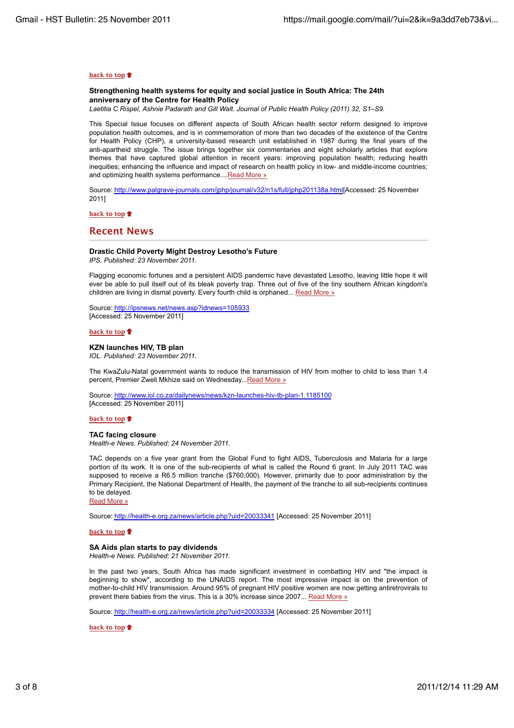#### **back to top**

## **Strengthening health systems for equity and social justice in South Africa: The 24th anniversary of the Centre for Health Policy**

*Laetitia C Rispel, Ashnie Padarath and Gill Walt. Journal of Public Health Policy (2011) 32, S1–S9.*

This Special Issue focuses on different aspects of South African health sector reform designed to improve population health outcomes, and is in commemoration of more than two decades of the existence of the Centre for Health Policy (CHP), a university-based research unit established in 1987 during the final years of the anti-apartheid struggle. The issue brings together six commentaries and eight scholarly articles that explore themes that have captured global attention in recent years: improving population health; reducing health inequities; enhancing the influence and impact of research on health policy in low- and middle-income countries; and optimizing health systems performance....Read More »

Source: http://www.palgrave-journals.com/jphp/journal/v32/n1s/full/jphp201138a.html[Accessed: 25 November 2011]

**back to top**

## **Recent News**

# **Drastic Child Poverty Might Destroy Lesotho's Future**

*IPS. Published: 23 November 2011.*

Flagging economic fortunes and a persistent AIDS pandemic have devastated Lesotho, leaving little hope it will ever be able to pull itself out of its bleak poverty trap. Three out of five of the tiny southern African kingdom's children are living in dismal poverty. Every fourth child is orphaned... Read More »

Source: http://ipsnews.net/news.asp?idnews=105933 [Accessed: 25 November 2011]

#### **back to top**

#### **KZN launches HIV, TB plan** *IOL. Published: 23 November 2011.*

The KwaZulu-Natal government wants to reduce the transmission of HIV from mother to child to less than 1.4 percent, Premier Zweli Mkhize said on Wednesday... Read More »

Source: http://www.iol.co.za/dailynews/news/kzn-launches-hiv-tb-plan-1.1185100 [Accessed: 25 November 2011]

#### **back to top**

#### **TAC facing closure**

*Health-e News. Published: 24 November 2011.*

TAC depends on a five year grant from the Global Fund to fight AIDS, Tuberculosis and Malaria for a large portion of its work. It is one of the sub-recipients of what is called the Round 6 grant. In July 2011 TAC was supposed to receive a R6.5 million tranche (\$760,000). However, primarily due to poor administration by the Primary Recipient, the National Department of Health, the payment of the tranche to all sub-recipients continues to be delayed.

Read More »

Source: http://health-e.org.za/news/article.php?uid=20033341 [Accessed: 25 November 2011]

## **back to top**

## **SA Aids plan starts to pay dividends**

*Health-e News. Published: 21 November 2011.*

In the past two years, South Africa has made significant investment in combatting HIV and "the impact is beginning to show", according to the UNAIDS report. The most impressive impact is on the prevention of mother-to-child HIV transmission. Around 95% of pregnant HIV positive women are now getting antiretrovirals to prevent there babies from the virus. This is a 30% increase since 2007... Read More »

Source: http://health-e.org.za/news/article.php?uid=20033334 [Accessed: 25 November 2011]

**back to top**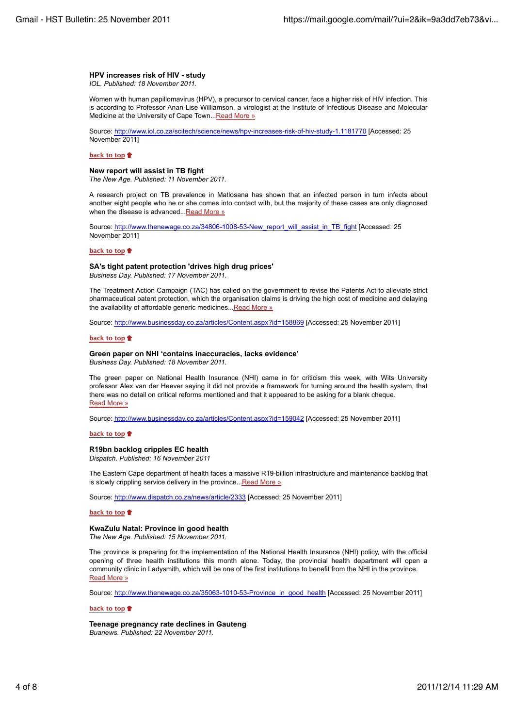# **HPV increases risk of HIV - study**

*IOL. Published: 18 November 2011.*

Women with human papillomavirus (HPV), a precursor to cervical cancer, face a higher risk of HIV infection. This is according to Professor Anan-Lise Williamson, a virologist at the Institute of Infectious Disease and Molecular Medicine at the University of Cape Town... Read More »

Source: http://www.iol.co.za/scitech/science/news/hpv-increases-risk-of-hiv-study-1.1181770 [Accessed: 25 November 2011]

## **back to top**

### **New report will assist in TB fight**

*The New Age. Published: 11 November 2011.*

A research project on TB prevalence in Matlosana has shown that an infected person in turn infects about another eight people who he or she comes into contact with, but the majority of these cases are only diagnosed when the disease is advanced...Read More »

Source: http://www.thenewage.co.za/34806-1008-53-New\_report\_will\_assist\_in\_TB\_fight [Accessed: 25 November 2011]

### **back to top**

## **SA's tight patent protection 'drives high drug prices'**

*Business Day. Published: 17 November 2011.*

The Treatment Action Campaign (TAC) has called on the government to revise the Patents Act to alleviate strict pharmaceutical patent protection, which the organisation claims is driving the high cost of medicine and delaying the availability of affordable generic medicines... Read More »

Source: http://www.businessday.co.za/articles/Content.aspx?id=158869 [Accessed: 25 November 2011]

#### **back to top**

## **Green paper on NHI 'contains inaccuracies, lacks evidence'**

*Business Day. Published: 18 November 2011.*

The green paper on National Health Insurance (NHI) came in for criticism this week, with Wits University professor Alex van der Heever saying it did not provide a framework for turning around the health system, that there was no detail on critical reforms mentioned and that it appeared to be asking for a blank cheque. Read More »

Source: http://www.businessday.co.za/articles/Content.aspx?id=159042 [Accessed: 25 November 2011]

#### **back to top**

## **R19bn backlog cripples EC health**

*Dispatch. Published: 16 November 2011*

The Eastern Cape department of health faces a massive R19-billion infrastructure and maintenance backlog that is slowly crippling service delivery in the province... Read More »

Source: http://www.dispatch.co.za/news/article/2333 [Accessed: 25 November 2011]

#### **back to top**

## **KwaZulu Natal: Province in good health**

*The New Age. Published: 15 November 2011.*

The province is preparing for the implementation of the National Health Insurance (NHI) policy, with the official opening of three health institutions this month alone. Today, the provincial health department will open a community clinic in Ladysmith, which will be one of the first institutions to benefit from the NHI in the province. Read More »

Source: http://www.thenewage.co.za/35063-1010-53-Province\_in\_good\_health [Accessed: 25 November 2011]

## **back to top**

**Teenage pregnancy rate declines in Gauteng** *Buanews. Published: 22 November 2011.*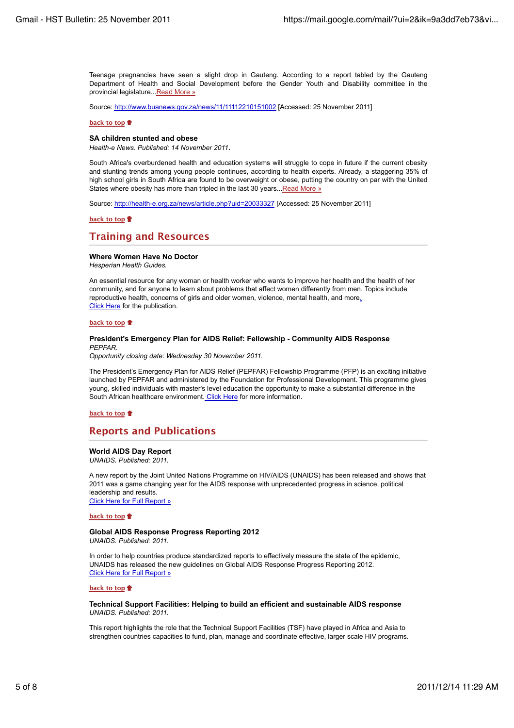Teenage pregnancies have seen a slight drop in Gauteng. According to a report tabled by the Gauteng Department of Health and Social Development before the Gender Youth and Disability committee in the provincial legislature...Read More »

Source: http://www.buanews.gov.za/news/11/11112210151002 [Accessed: 25 November 2011]

#### **back to top**

### **SA children stunted and obese**

*Health-e News. Published: 14 November 2011*.

South Africa's overburdened health and education systems will struggle to cope in future if the current obesity and stunting trends among young people continues, according to health experts. Already, a staggering 35% of high school girls in South Africa are found to be overweight or obese, putting the country on par with the United States where obesity has more than tripled in the last 30 years... Read More »

Source: http://health-e.org.za/news/article.php?uid=20033327 [Accessed: 25 November 2011]

#### **back to top**

# **Training and Resources**

#### **Where Women Have No Doctor**

*Hesperian Health Guides.*

An essential resource for any woman or health worker who wants to improve her health and the health of her community, and for anyone to learn about problems that affect women differently from men. Topics include reproductive health, concerns of girls and older women, violence, mental health, and more. Click Here for the publication.

#### **back to top**

#### **President's Emergency Plan for AIDS Relief: Fellowship - Community AIDS Response** *PEPFAR.*

*Opportunity closing date: Wednesday 30 November 2011.*

The President's Emergency Plan for AIDS Relief (PEPFAR) Fellowship Programme (PFP) is an exciting initiative launched by PEPFAR and administered by the Foundation for Professional Development. This programme gives young, skilled individuals with master's level education the opportunity to make a substantial difference in the South African healthcare environment. Click Here for more information.

**back to top**

# **Reports and Publications**

## **World AIDS Day Report**

*UNAIDS. Published: 2011.*

A new report by the Joint United Nations Programme on HIV/AIDS (UNAIDS) has been released and shows that 2011 was a game changing year for the AIDS response with unprecedented progress in science, political leadership and results.

Click Here for Full Report »

## **back to top**

#### **Global AIDS Response Progress Reporting 2012** *UNAIDS. Published: 2011.*

In order to help countries produce standardized reports to effectively measure the state of the epidemic, UNAIDS has released the new guidelines on Global AIDS Response Progress Reporting 2012. Click Here for Full Report »

#### **back to top**

## **Technical Support Facilities: Helping to build an efficient and sustainable AIDS response** *UNAIDS. Published: 2011.*

This report highlights the role that the Technical Support Facilities (TSF) have played in Africa and Asia to strengthen countries capacities to fund, plan, manage and coordinate effective, larger scale HIV programs.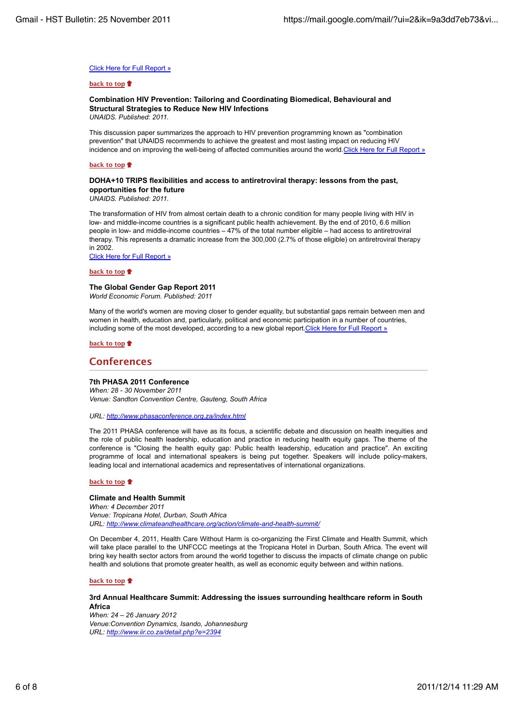### Click Here for Full Report »

#### **back to top**

## **Combination HIV Prevention: Tailoring and Coordinating Biomedical, Behavioural and Structural Strategies to Reduce New HIV Infections**

*UNAIDS. Published: 2011.*

This discussion paper summarizes the approach to HIV prevention programming known as "combination prevention" that UNAIDS recommends to achieve the greatest and most lasting impact on reducing HIV incidence and on improving the well-being of affected communities around the world.Click Here for Full Report »

## **back to top**

## **DOHA+10 TRIPS flexibilities and access to antiretroviral therapy: lessons from the past, opportunities for the future**

*UNAIDS. Published: 2011.*

The transformation of HIV from almost certain death to a chronic condition for many people living with HIV in low- and middle-income countries is a significant public health achievement. By the end of 2010, 6.6 million people in low- and middle-income countries – 47% of the total number eligible – had access to antiretroviral therapy. This represents a dramatic increase from the 300,000 (2.7% of those eligible) on antiretroviral therapy in 2002.

Click Here for Full Report »

**back to top**

## **The Global Gender Gap Report 2011**

*World Economic Forum. Published: 2011*

Many of the world's women are moving closer to gender equality, but substantial gaps remain between men and women in health, education and, particularly, political and economic participation in a number of countries, including some of the most developed, according to a new global report. Click Here for Full Report »

#### **back to top**

## **Conferences**

### **7th PHASA 2011 Conference**

*When: 28 - 30 November 2011 Venue: Sandton Convention Centre, Gauteng, South Africa*

*URL: http://www.phasaconference.org.za/index.html*

The 2011 PHASA conference will have as its focus, a scientific debate and discussion on health inequities and the role of public health leadership, education and practice in reducing health equity gaps. The theme of the conference is "Closing the health equity gap: Public health leadership, education and practice". An exciting programme of local and international speakers is being put together. Speakers will include policy-makers, leading local and international academics and representatives of international organizations.

#### **back to top**

## **Climate and Health Summit**

*When: 4 December 2011 Venue: Tropicana Hotel, Durban, South Africa URL: http://www.climateandhealthcare.org/action/climate-and-health-summit/*

On December 4, 2011, Health Care Without Harm is co-organizing the First Climate and Health Summit, which will take place parallel to the UNFCCC meetings at the Tropicana Hotel in Durban, South Africa. The event will bring key health sector actors from around the world together to discuss the impacts of climate change on public health and solutions that promote greater health, as well as economic equity between and within nations.

#### **back to top**

**3rd Annual Healthcare Summit: Addressing the issues surrounding healthcare reform in South Africa**

*When: 24 – 26 January 2012 Venue:Convention Dynamics, Isando, Johannesburg URL: http://www.iir.co.za/detail.php?e=2394*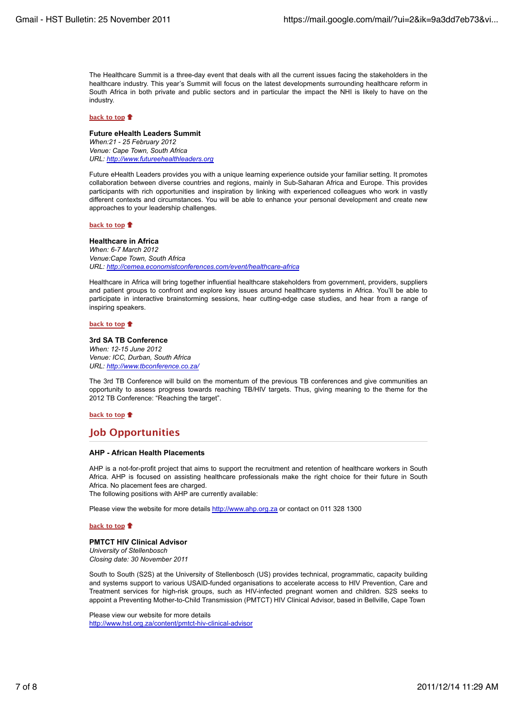The Healthcare Summit is a three-day event that deals with all the current issues facing the stakeholders in the healthcare industry. This year's Summit will focus on the latest developments surrounding healthcare reform in South Africa in both private and public sectors and in particular the impact the NHI is likely to have on the industry.

### **back to top**

#### **Future eHealth Leaders Summit**

*When:21 - 25 February 2012 Venue: Cape Town, South Africa URL: http://www.futureehealthleaders.org*

Future eHealth Leaders provides you with a unique learning experience outside your familiar setting. It promotes collaboration between diverse countries and regions, mainly in Sub-Saharan Africa and Europe. This provides participants with rich opportunities and inspiration by linking with experienced colleagues who work in vastly different contexts and circumstances. You will be able to enhance your personal development and create new approaches to your leadership challenges.

#### **back to top**

**Healthcare in Africa** *When: 6-7 March 2012 Venue:Cape Town, South Africa URL: http://cemea.economistconferences.com/event/healthcare-africa*

Healthcare in Africa will bring together influential healthcare stakeholders from government, providers, suppliers and patient groups to confront and explore key issues around healthcare systems in Africa. You'll be able to participate in interactive brainstorming sessions, hear cutting-edge case studies, and hear from a range of inspiring speakers.

#### **back to top**

#### **3rd SA TB Conference** *When: 12-15 June 2012 Venue: ICC, Durban, South Africa URL: http://www.tbconference.co.za/*

The 3rd TB Conference will build on the momentum of the previous TB conferences and give communities an opportunity to assess progress towards reaching TB/HIV targets. Thus, giving meaning to the theme for the 2012 TB Conference: "Reaching the target".

#### **back to top**

# **Job Opportunities**

## **AHP - African Health Placements**

AHP is a not-for-profit project that aims to support the recruitment and retention of healthcare workers in South Africa. AHP is focused on assisting healthcare professionals make the right choice for their future in South Africa. No placement fees are charged.

The following positions with AHP are currently available:

Please view the website for more details http://www.ahp.org.za or contact on 011 328 1300

## **back to top**

## **PMTCT HIV Clinical Advisor**

*University of Stellenbosch Closing date: 30 November 2011*

South to South (S2S) at the University of Stellenbosch (US) provides technical, programmatic, capacity building and systems support to various USAID-funded organisations to accelerate access to HIV Prevention, Care and Treatment services for high-risk groups, such as HIV-infected pregnant women and children. S2S seeks to appoint a Preventing Mother-to-Child Transmission (PMTCT) HIV Clinical Advisor, based in Bellville, Cape Town

Please view our website for more details http://www.hst.org.za/content/pmtct-hiv-clinical-advisor